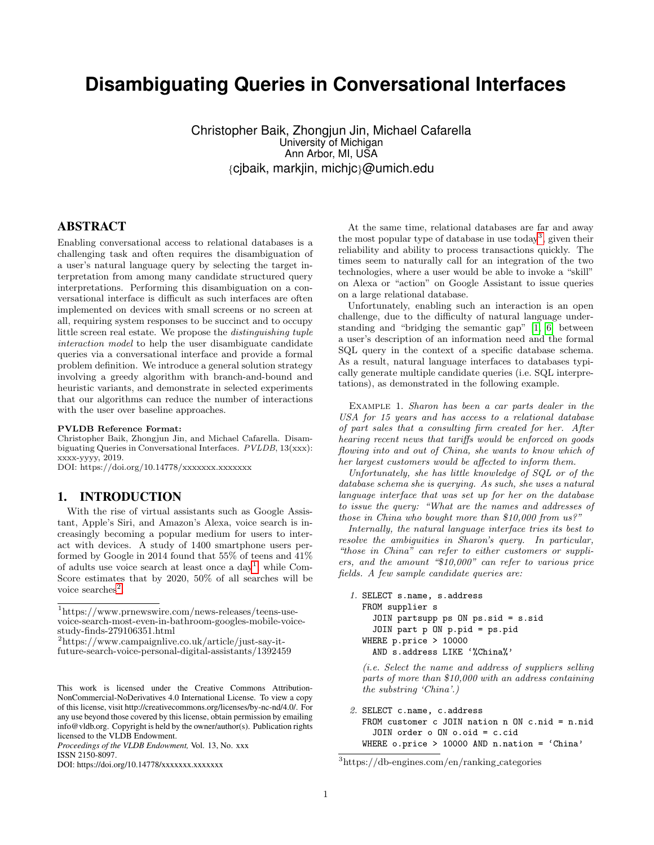# **Disambiguating Queries in Conversational Interfaces**

Christopher Baik, Zhongjun Jin, Michael Cafarella University of Michigan Ann Arbor, MI, USA {cjbaik, markjin, michjc}@umich.edu

## ABSTRACT

Enabling conversational access to relational databases is a challenging task and often requires the disambiguation of a user's natural language query by selecting the target interpretation from among many candidate structured query interpretations. Performing this disambiguation on a conversational interface is difficult as such interfaces are often implemented on devices with small screens or no screen at all, requiring system responses to be succinct and to occupy little screen real estate. We propose the distinguishing tuple interaction model to help the user disambiguate candidate queries via a conversational interface and provide a formal problem definition. We introduce a general solution strategy involving a greedy algorithm with branch-and-bound and heuristic variants, and demonstrate in selected experiments that our algorithms can reduce the number of interactions with the user over baseline approaches.

#### PVLDB Reference Format:

Christopher Baik, Zhongjun Jin, and Michael Cafarella. Disambiguating Queries in Conversational Interfaces. PVLDB, 13(xxx): xxxx-yyyy, 2019.

DOI: https://doi.org/10.14778/xxxxxxx.xxxxxxx

### 1. INTRODUCTION

With the rise of virtual assistants such as Google Assistant, Apple's Siri, and Amazon's Alexa, voice search is increasingly becoming a popular medium for users to interact with devices. A study of 1400 smartphone users performed by Google in 2014 found that 55% of teens and 41% of adults use voice search at least once a  $day<sup>1</sup>$  $day<sup>1</sup>$  $day<sup>1</sup>$ , while Com-Score estimates that by 2020, 50% of all searches will be voice searches<sup>[2](#page-0-1)</sup>.

<span id="page-0-1"></span><sup>2</sup>https://www.campaignlive.co.uk/article/just-say-itfuture-search-voice-personal-digital-assistants/1392459

DOI: https://doi.org/10.14778/xxxxxxx.xxxxxxx

At the same time, relational databases are far and away the most popular type of database in use today<sup>[3](#page-0-2)</sup>, given their reliability and ability to process transactions quickly. The times seem to naturally call for an integration of the two technologies, where a user would be able to invoke a "skill" on Alexa or "action" on Google Assistant to issue queries on a large relational database.

Unfortunately, enabling such an interaction is an open challenge, due to the difficulty of natural language understanding and "bridging the semantic gap" [\[1,](#page-3-0) [6\]](#page-3-1) between a user's description of an information need and the formal SQL query in the context of a specific database schema. As a result, natural language interfaces to databases typically generate multiple candidate queries (i.e. SQL interpretations), as demonstrated in the following example.

<span id="page-0-3"></span>Example 1. Sharon has been a car parts dealer in the USA for 15 years and has access to a relational database of part sales that a consulting firm created for her. After hearing recent news that tariffs would be enforced on goods flowing into and out of China, she wants to know which of her largest customers would be affected to inform them.

Unfortunately, she has little knowledge of SQL or of the database schema she is querying. As such, she uses a natural language interface that was set up for her on the database to issue the query: "What are the names and addresses of those in China who bought more than \$10,000 from us?"

Internally, the natural language interface tries its best to resolve the ambiguities in Sharon's query. In particular, "those in China" can refer to either customers or suppliers, and the amount "\$10,000" can refer to various price fields. A few sample candidate queries are:

```
1. SELECT s.name, s.address
  FROM supplier s
    JOIN partsupp ps ON ps.sid = s.sid
    JOIN part p ON p.pid = ps.pid
  WHERE p.price > 10000
    AND s.address LIKE '%China%'
```
(i.e. Select the name and address of suppliers selling parts of more than \$10,000 with an address containing the substring 'China'.)

2. SELECT c.name, c.address

```
FROM customer c JOIN nation n ON c.nid = n.nid
  JOIN order o ON o.oid = c.cid
WHERE o.price > 10000 AND n.nation = 'China'
```
<span id="page-0-0"></span><sup>1</sup>https://www.prnewswire.com/news-releases/teens-usevoice-search-most-even-in-bathroom-googles-mobile-voicestudy-finds-279106351.html

This work is licensed under the Creative Commons Attribution-NonCommercial-NoDerivatives 4.0 International License. To view a copy of this license, visit http://creativecommons.org/licenses/by-nc-nd/4.0/. For any use beyond those covered by this license, obtain permission by emailing info@vldb.org. Copyright is held by the owner/author(s). Publication rights licensed to the VLDB Endowment.

*Proceedings of the VLDB Endowment,* Vol. 13, No. xxx ISSN 2150-8097.

<span id="page-0-2"></span><sup>3</sup>https://db-engines.com/en/ranking categories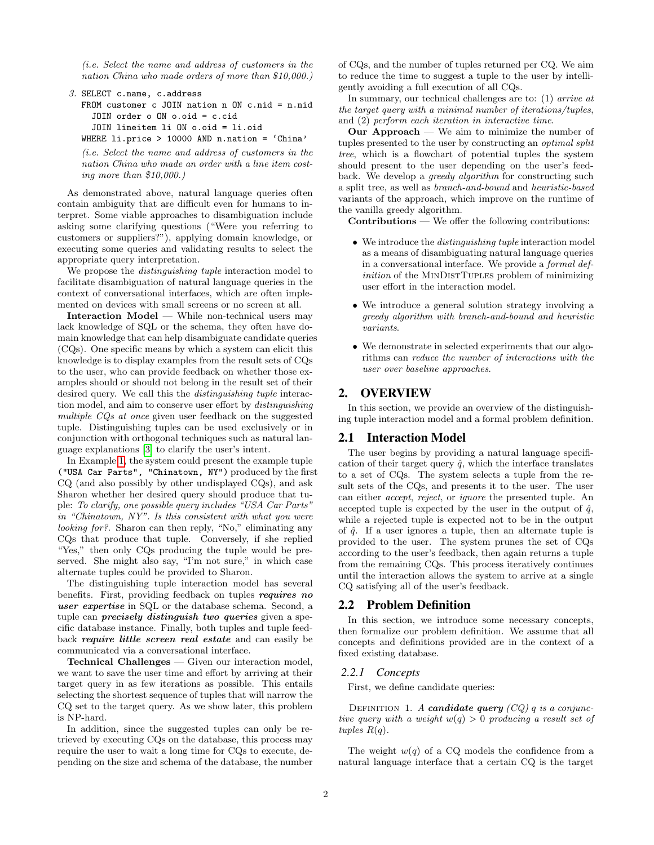(i.e. Select the name and address of customers in the nation China who made orders of more than \$10,000.)

```
3. SELECT c.name, c.address
  FROM customer c JOIN nation n ON c.nid = n.nid
    JOIN order o ON o.oid = c.cid
    JOIN lineitem li ON o.oid = li.oid
  WHERE li.price > 10000 AND n.nation = 'China'
```
(i.e. Select the name and address of customers in the nation China who made an order with a line item costing more than \$10,000.)

As demonstrated above, natural language queries often contain ambiguity that are difficult even for humans to interpret. Some viable approaches to disambiguation include asking some clarifying questions ("Were you referring to customers or suppliers?"), applying domain knowledge, or executing some queries and validating results to select the appropriate query interpretation.

We propose the *distinguishing tuple* interaction model to facilitate disambiguation of natural language queries in the context of conversational interfaces, which are often implemented on devices with small screens or no screen at all.

Interaction Model — While non-technical users may lack knowledge of SQL or the schema, they often have domain knowledge that can help disambiguate candidate queries (CQs). One specific means by which a system can elicit this knowledge is to display examples from the result sets of CQs to the user, who can provide feedback on whether those examples should or should not belong in the result set of their desired query. We call this the distinguishing tuple interaction model, and aim to conserve user effort by distinguishing multiple CQs at once given user feedback on the suggested tuple. Distinguishing tuples can be used exclusively or in conjunction with orthogonal techniques such as natural language explanations [\[3\]](#page-3-2) to clarify the user's intent.

In Example [1,](#page-0-3) the system could present the example tuple ("USA Car Parts", "Chinatown, NY") produced by the first CQ (and also possibly by other undisplayed CQs), and ask Sharon whether her desired query should produce that tuple: To clarify, one possible query includes "USA Car Parts" in "Chinatown, NY". Is this consistent with what you were looking for?. Sharon can then reply, "No," eliminating any CQs that produce that tuple. Conversely, if she replied "Yes," then only CQs producing the tuple would be preserved. She might also say, "I'm not sure," in which case alternate tuples could be provided to Sharon.

The distinguishing tuple interaction model has several benefits. First, providing feedback on tuples requires no user expertise in SQL or the database schema. Second, a tuple can *precisely distinguish two queries* given a specific database instance. Finally, both tuples and tuple feedback require little screen real estate and can easily be communicated via a conversational interface.

Technical Challenges — Given our interaction model, we want to save the user time and effort by arriving at their target query in as few iterations as possible. This entails selecting the shortest sequence of tuples that will narrow the CQ set to the target query. As we show later, this problem is NP-hard.

In addition, since the suggested tuples can only be retrieved by executing CQs on the database, this process may require the user to wait a long time for CQs to execute, depending on the size and schema of the database, the number of CQs, and the number of tuples returned per CQ. We aim to reduce the time to suggest a tuple to the user by intelligently avoiding a full execution of all CQs.

In summary, our technical challenges are to: (1) arrive at the target query with a minimal number of iterations/tuples, and (2) perform each iteration in interactive time.

**Our Approach** — We aim to minimize the number of tuples presented to the user by constructing an optimal split tree, which is a flowchart of potential tuples the system should present to the user depending on the user's feedback. We develop a *greedy algorithm* for constructing such a split tree, as well as branch-and-bound and heuristic-based variants of the approach, which improve on the runtime of the vanilla greedy algorithm.

Contributions — We offer the following contributions:

- We introduce the *distinguishing tuple* interaction model as a means of disambiguating natural language queries in a conversational interface. We provide a formal definition of the MINDISTTUPLES problem of minimizing user effort in the interaction model.
- We introduce a general solution strategy involving a greedy algorithm with branch-and-bound and heuristic variants.
- We demonstrate in selected experiments that our algorithms can reduce the number of interactions with the user over baseline approaches.

## 2. OVERVIEW

In this section, we provide an overview of the distinguishing tuple interaction model and a formal problem definition.

## 2.1 Interaction Model

The user begins by providing a natural language specification of their target query  $\hat{q}$ , which the interface translates to a set of CQs. The system selects a tuple from the result sets of the CQs, and presents it to the user. The user can either accept, reject, or ignore the presented tuple. An accepted tuple is expected by the user in the output of  $\hat{q}$ , while a rejected tuple is expected not to be in the output of  $\hat{q}$ . If a user ignores a tuple, then an alternate tuple is provided to the user. The system prunes the set of CQs according to the user's feedback, then again returns a tuple from the remaining CQs. This process iteratively continues until the interaction allows the system to arrive at a single CQ satisfying all of the user's feedback.

## 2.2 Problem Definition

In this section, we introduce some necessary concepts, then formalize our problem definition. We assume that all concepts and definitions provided are in the context of a fixed existing database.

#### *2.2.1 Concepts*

First, we define candidate queries:

DEFINITION 1. A candidate query  $(CQ)$  q is a conjunctive query with a weight  $w(q) > 0$  producing a result set of tuples  $R(q)$ .

The weight  $w(q)$  of a CQ models the confidence from a natural language interface that a certain CQ is the target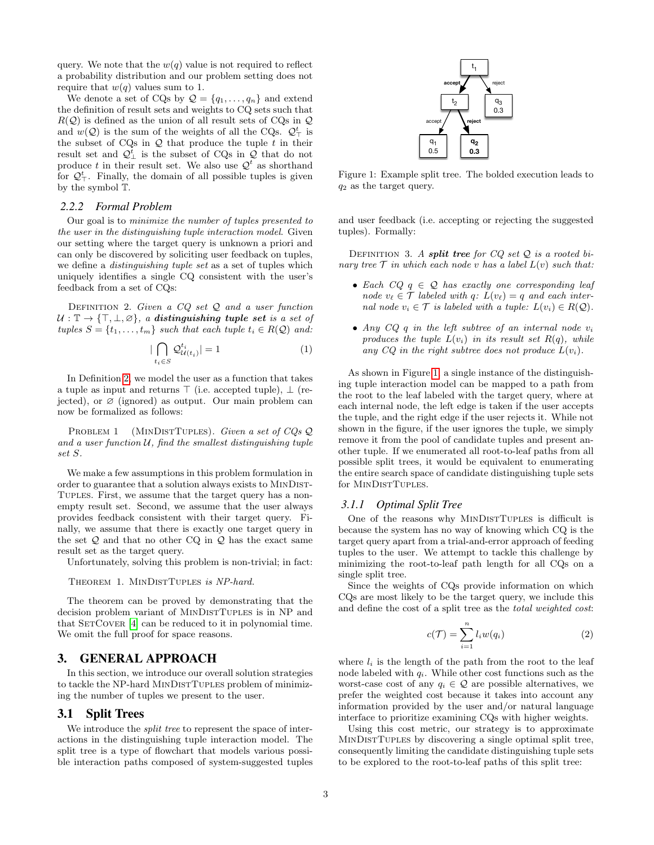query. We note that the  $w(q)$  value is not required to reflect a probability distribution and our problem setting does not require that  $w(q)$  values sum to 1.

We denote a set of CQs by  $\mathcal{Q} = \{q_1, \ldots, q_n\}$  and extend the definition of result sets and weights to CQ sets such that  $R(Q)$  is defined as the union of all result sets of CQs in Q and  $w(Q)$  is the sum of the weights of all the CQs.  $Q_{\perp}^t$  is the subset of  $CQs$  in  $Q$  that produce the tuple  $t$  in their result set and  $\mathcal{Q}_\perp^t$  is the subset of CQs in  $\mathcal Q$  that do not produce t in their result set. We also use  $\mathcal{Q}^t$  as shorthand for  $\mathcal{Q}_{\top}^{t}$ . Finally, the domain of all possible tuples is given by the symbol T.

#### *2.2.2 Formal Problem*

Our goal is to minimize the number of tuples presented to the user in the distinguishing tuple interaction model. Given our setting where the target query is unknown a priori and can only be discovered by soliciting user feedback on tuples, we define a distinguishing tuple set as a set of tuples which uniquely identifies a single CQ consistent with the user's feedback from a set of CQs:

<span id="page-2-0"></span>DEFINITION 2. Given a  $CQ$  set  $Q$  and a user function  $U : \mathbb{T} \to \{\top, \bot, \varnothing\},\$ a distinguishing tuple set is a set of tuples  $S = \{t_1, \ldots, t_m\}$  such that each tuple  $t_i \in R(\mathcal{Q})$  and:

$$
|\bigcap_{t_i \in S} \mathcal{Q}_{\mathcal{U}(t_i)}^{t_i}| = 1
$$
\n(1)

In Definition [2,](#page-2-0) we model the user as a function that takes a tuple as input and returns  $\top$  (i.e. accepted tuple),  $\bot$  (rejected), or  $\varnothing$  (ignored) as output. Our main problem can now be formalized as follows:

PROBLEM 1 (MINDISTTUPLES). Given a set of  $COS$  Q and a user function  $U$ , find the smallest distinguishing tuple set S.

We make a few assumptions in this problem formulation in order to guarantee that a solution always exists to MinDist-Tuples. First, we assume that the target query has a nonempty result set. Second, we assume that the user always provides feedback consistent with their target query. Finally, we assume that there is exactly one target query in the set  $Q$  and that no other CQ in  $Q$  has the exact same result set as the target query.

Unfortunately, solving this problem is non-trivial; in fact:

THEOREM 1. MINDISTTUPLES is NP-hard.

The theorem can be proved by demonstrating that the decision problem variant of MinDistTuples is in NP and that  $SETCover [4]$  $SETCover [4]$  can be reduced to it in polynomial time. We omit the full proof for space reasons.

## 3. GENERAL APPROACH

In this section, we introduce our overall solution strategies to tackle the NP-hard MINDISTTUPLES problem of minimizing the number of tuples we present to the user.

#### 3.1 Split Trees

We introduce the *split tree* to represent the space of interactions in the distinguishing tuple interaction model. The split tree is a type of flowchart that models various possible interaction paths composed of system-suggested tuples

<span id="page-2-1"></span>

Figure 1: Example split tree. The bolded execution leads to  $q_2$  as the target query.

and user feedback (i.e. accepting or rejecting the suggested tuples). Formally:

DEFINITION 3. A split tree for  $CQ$  set  $Q$  is a rooted binary tree  $\mathcal T$  in which each node v has a label  $L(v)$  such that:

- Each  $CQ$   $q \in \mathcal{Q}$  has exactly one corresponding leaf node  $v_{\ell} \in \mathcal{T}$  labeled with q:  $L(v_{\ell}) = q$  and each internal node  $v_i \in \mathcal{T}$  is labeled with a tuple:  $L(v_i) \in R(\mathcal{Q})$ .
- Any  $CQ$  q in the left subtree of an internal node  $v_i$ produces the tuple  $L(v_i)$  in its result set  $R(q)$ , while any  $CQ$  in the right subtree does not produce  $L(v_i)$ .

As shown in Figure [1,](#page-2-1) a single instance of the distinguishing tuple interaction model can be mapped to a path from the root to the leaf labeled with the target query, where at each internal node, the left edge is taken if the user accepts the tuple, and the right edge if the user rejects it. While not shown in the figure, if the user ignores the tuple, we simply remove it from the pool of candidate tuples and present another tuple. If we enumerated all root-to-leaf paths from all possible split trees, it would be equivalent to enumerating the entire search space of candidate distinguishing tuple sets for MINDISTTUPLES.

#### *3.1.1 Optimal Split Tree*

One of the reasons why MINDISTTUPLES is difficult is because the system has no way of knowing which CQ is the target query apart from a trial-and-error approach of feeding tuples to the user. We attempt to tackle this challenge by minimizing the root-to-leaf path length for all CQs on a single split tree.

Since the weights of CQs provide information on which CQs are most likely to be the target query, we include this and define the cost of a split tree as the total weighted cost:

$$
c(\mathcal{T}) = \sum_{i=1}^{n} l_i w(q_i)
$$
 (2)

where  $l_i$  is the length of the path from the root to the leaf node labeled with  $q_i$ . While other cost functions such as the worst-case cost of any  $q_i \in \mathcal{Q}$  are possible alternatives, we prefer the weighted cost because it takes into account any information provided by the user and/or natural language interface to prioritize examining CQs with higher weights.

Using this cost metric, our strategy is to approximate MinDistTuples by discovering a single optimal split tree, consequently limiting the candidate distinguishing tuple sets to be explored to the root-to-leaf paths of this split tree: